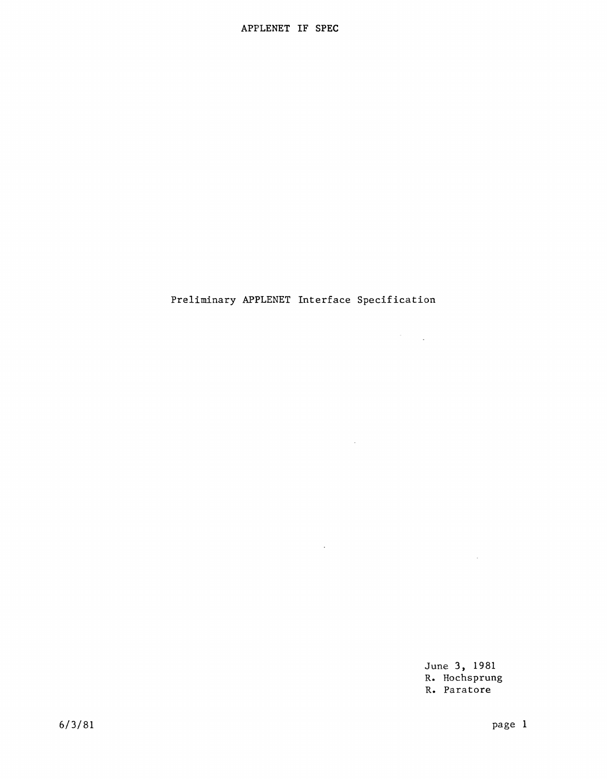# Preliminary APPLENET Interface Specification

 $\sim 10^7$ 

 $\sim 10^{-1}$ 

June 3, 1981 R. Hochsprung R. Paratore

 $\sim 10^{-1}$ 

 $\mathcal{F}^{\text{max}}_{\text{max}}$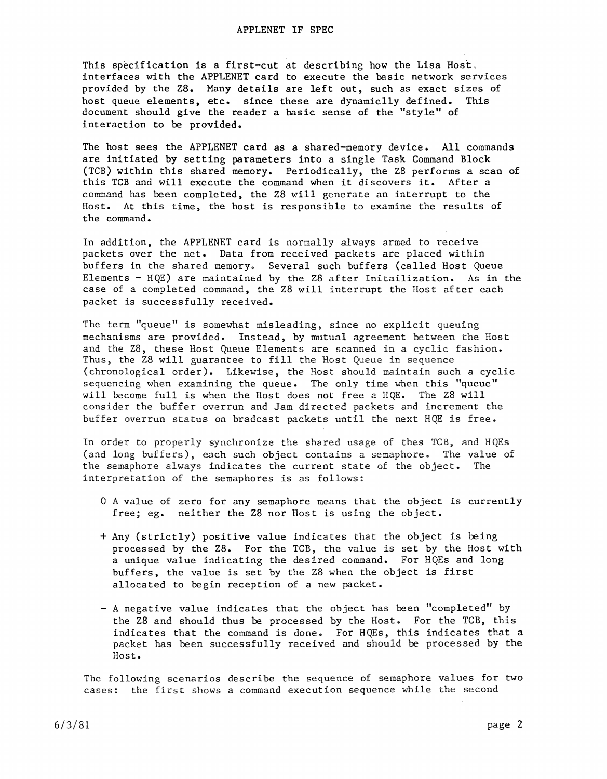This specification is a first-cut at describing how the Lisa Host, interfaces with the APPLENET card to execute the basic network services provided by the Z8. Many details are left out, such as exact sizes of host queue elements, etc. since these are dynamiclly defined. This host queue elements, etc. since these are dynamiclly defined. document should give the reader a basic sense of the "style" of interaction to be provided.

The host sees the APPLENET card as a shared-memory device. All commands are initiated by setting parameters into a single Task Command Block (TCB) within this shared memory. Periodically, the Z8 performs a scan of. this TGB and will execute the command when it discovers it. After a command has been completed, the Z8 will generate an interrupt to the Host. At this time, the host is responsible to examine the results of the command.

In addition, the APPLENET card is normally always armed to receive packets over the net. Data from received packets are placed within buffers in the shared memory. Several such buffers (called Host Queue Elements - HQE) are maintained by the 28 after Initailization. As in the case of a completed command, the Z8 will interrupt the Host after each packet is successfully received.

The term "queue" is somewhat misleading, since no explicit queuing mechanisms are provided. Instead, by mutual agreement between the Host and the Z8, these Host Queue Elements are scanned in a cyclic fashion. Thus, the Z8 will guarantee to fill the Host Queue in sequence (chronological order). Likewise, the Host should maintain such a cyclic sequencing when examining the queue. The only time when this "queue" will become full is when the Host does not free a HQE. The Z8 will consider the buffer overrun and Jam directed packets and increment the buffer overrun status on bradcast packets until the next HQE is free.

In order to properly synchronize the shared usage of thes TCB) and HQEs (and long buffers), each such object contains a semaphore. The value of the semaphore always indicates the current state of the object. The interpretation of the semaphores is as follows:

- o A value of zero for any semaphore means that the object is currently free; eg. neither the Z8 nor Host is using the object.
- + Any (strictly) positive value indicates that the object is being processed by the Z8. For the TCB, the value is set by the Host with a unique value indicating the desired command. For HQEs and long buffers, the value is set by the Z8 when the object is first allocated to begin reception of a new packet.
- A negative value indicates that the object has been "completed" by the Z8 and should thus be processed by the Host. For the TCB, this indicates that the command is done. For HQEs, this indicates that a packet has been successfully received and should be processed by the Host.

The following scenarios describe the sequence of semaphore values for two cases: the first shows a command execution sequence while the second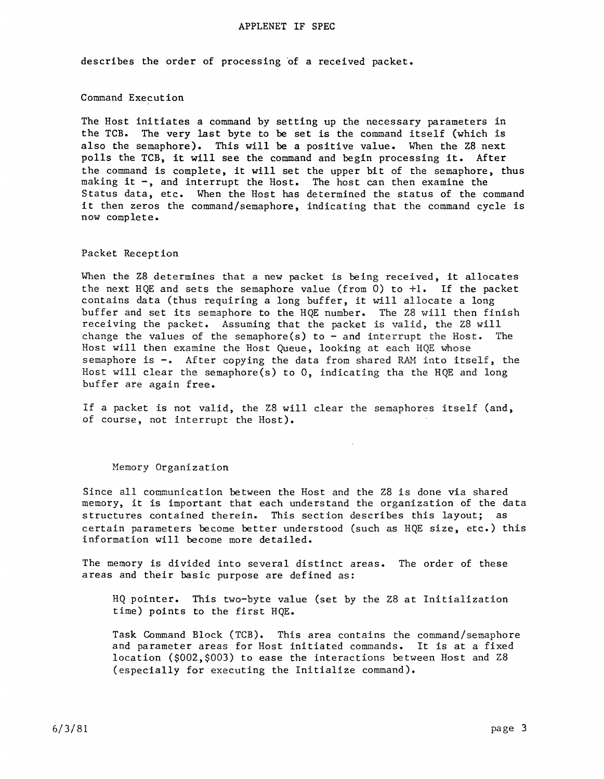#### APPLENET IF SPEC

describes the order of processing of a received packet.

## Command Execution

The Host initiates a command by setting up the necessary parameters in the TCB. The very last byte to be set is the command itself (which is also the semaphore). This will be a positive value. When the Z8 next polls the TCB, it will see the command and begin processing it. After the command is complete, it will set the upper bit of the semaphore, thus making it -, and interrupt the Host. The host can then examine the Status data, etc. When the Host has determined the status of the command it then zeros the command/semaphore, indicating that the command cycle is now complete.

# Packet Reception

When the Z8 determines that a new packet is being received, it allocates the next HQE and sets the semaphore value (from 0) to  $+1$ . If the packet contains data (thus requiring a long buffer, it will allocate a long buffer and set its semaphore to the HQE number. The Z8 will then finish receiving the packet. Assuming that the packet is valid, the Z8 will change the values of the semaphore(s) to  $-$  and interrupt the Host. The Host will then examine the Host Queue, looking at each HQE whose semaphore is -. After copying the data from shared RAM into itself, the Host will clear the semaphore(s) to 0, indicating tha the HQE and long buffer are again free.

If a packet is not valid, the Z8 will clear the semaphores itself (and, of course, not interrupt the Host).

#### Memory Organization

Since all communication between the Host and the Z8 is done via shared memory, it is important that each understand the organization of the data structures contained therein. This section describes this layout; as certain parameters become better understood (such as HQE size, etc.) this information will become more detailed.

The memory is divided into several distinct areas. The order of these areas and their basic purpose are defined as:

HQ pointer. This two-byte value (set by the Z8 at Initialization time) points to the first HQE.

Task Command Block (TCB). This area contains the command/semaphore and parameter areas for Host initiated commands. It is at a fixed location (\$002,\$003) to ease the interactions between Host and Z8 (especially for executing the Initialize command).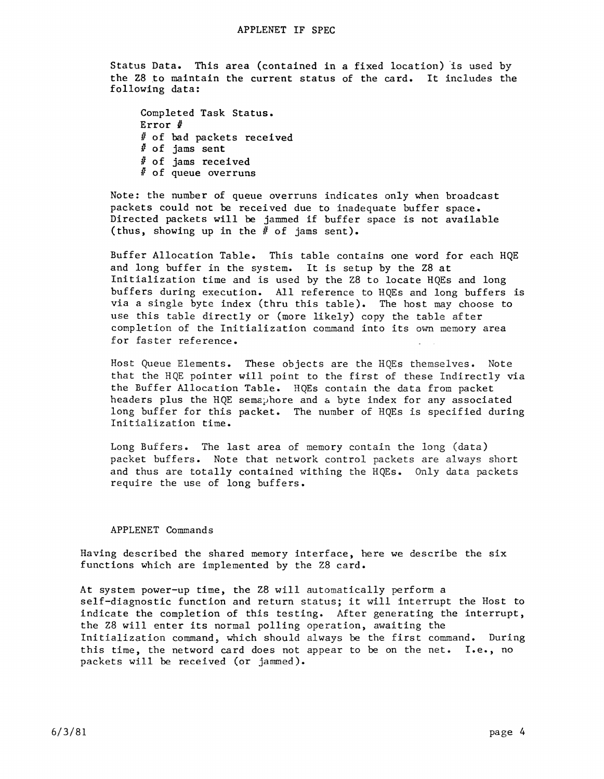Status Data. This area (contained in a fixed location) is used by the Z8 to maintain the current status of the card. It includes the following data:

Completed Task Status. Error  $#$ # of bad packets received  $#$  of jams sent *U* of jams received *U* of queue overruns

Note: the number of queue overruns indicates only when broadcast packets could not be received due to inadequate buffer space. Directed packets will be jammed if buffer space is not available (thus, showing up in the  $#$  of jams sent).

Buffer Allocation Table. This table contains one word for each HQE and long buffer in the system. It is setup by the Z8 at Initialization time and is used by the Z8 to locate HQEs and long buffers during execution. All reference to HQEs and long buffers is via a single byte index (thru this table). The host may choose to use this table directly or (more likely) copy the table after completion of the Initialization command into its own memory area for faster reference.

Host Queue Elements. These objects are the HQEs themselves. Note that the HQE pointer will point to the first of these Indirectly via the Buffer Allocation Table. HQEs contain the data from packet headers plus the HQE semaphore and a byte index for any associated long buffer for this packet. The number of HQEs is specified during Initialization time.

Long Buffers. The last area of memory contain the long (data) packet buffers. Note that network control packets are always short and thus are totally contained withing the HQEs. Only data packets require the use of long buffers.

#### APPLENET Commands

Having described the shared memory interface, here we describe the six functions which are implemented by the Z8 card.

At system power-up time, the Z8 will automatically perform a self-diagnostic function and return status; it will interrupt the Host to indicate the completion of this testing. After generating the interrupt, the Z8 will enter its normal polling operation, awaiting the Initialization command, which should always be the first command. During this time, the netword card does not appear to be on the net. I.e., no packets will be received (or jammed).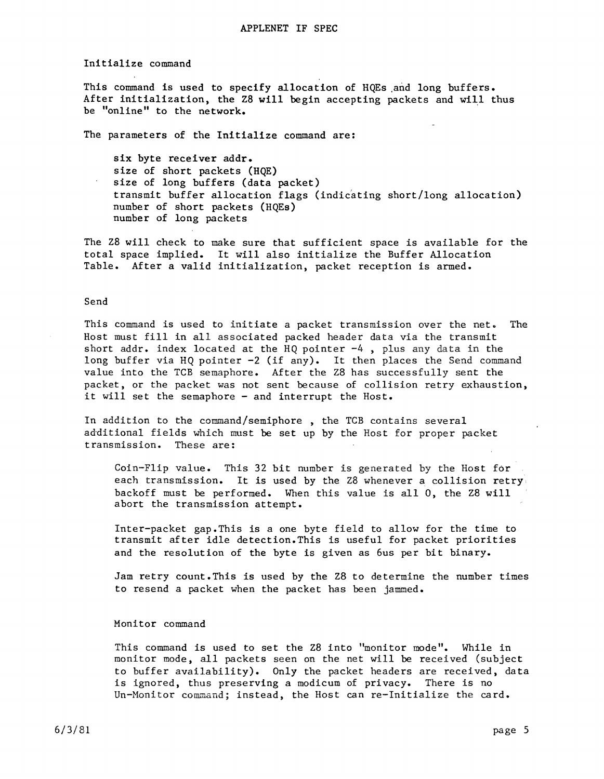#### Initialize command

This command is used to specify allocation of HQEs and long buffers. After initialization, the Z8 will begin accepting packets and will thus be "online" to the network.

The parameters of the Initialize command are:

six byte receiver addr. size of short packets (HQE) size of long buffers (data packet) transmit buffer allocation flags (indicating short/long allocation) number of short packets (HQEs) number of long packets

The Z8 will check to make sure that sufficient space is available for the total space implied. It will also initialize the Buffer Allocation Table. After a valid initialization, packet reception is armed.

## Send

This command is used to initiate a packet transmission over the net. The Host must fill in all associated packed header data via the transmit short addr. index located at the HQ pointer -4, plus any data in the long buffer via HQ pointer  $-2$  (if any). It then places the Send command value into the TCB semaphore. After the Z8 has successfully sent the packet, or the packet was not sent because of collision retry exhaustion, it will set the semaphore - and interrupt the Host.

In addition to the command/semiphore , the TCB contains several additional fields which must be set up by the Host for proper packet transmission. These are:

Coin-Flip value. This 32 bit number is generated by the Host for each transmission. It is used by the Z8 whenever a collision retry', backoff must be performed. When this value is all 0, the Z8 will abort the transmission attempt.

Inter-packet gap.This is a one byte field to allow for the time to transmit after idle detection. This is useful for packet priorities and the resolution of the byte is given as 6us per bit binary.

Jam retry count.This is used by the Z8 to determine the number times to resend a packet when the packet has been jammed.

# Monitor command

This command is used to set the Z8 into "monitor mode". While in monitor mode, all packets seen on the net will be received (subject to buffer availability). Only the packet headers are received, data is ignored, thus preserving a modicum of privacy. There is no Un-Monitor command; instead, the Host can re-Initialize the card.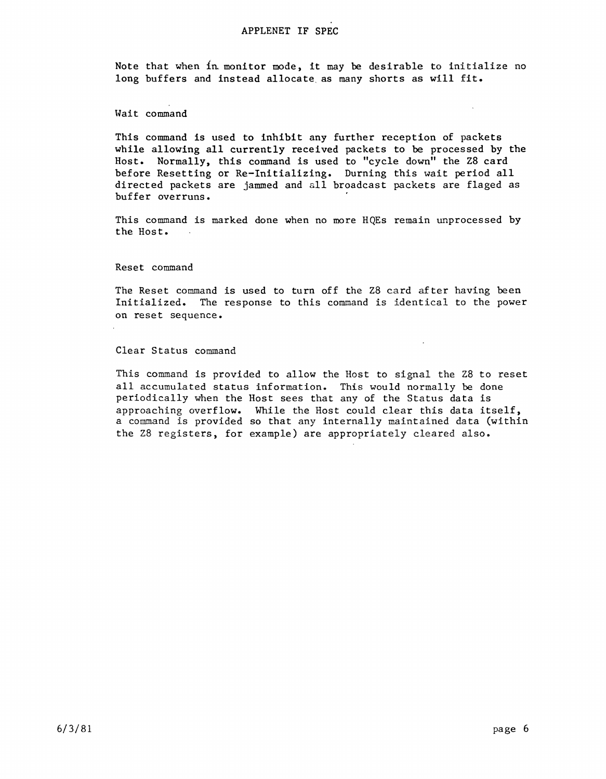# APPLENET IF SPEC

Note that when  ${in}$  monitor mode, it may be desirable to initialize no long buffers and instead allocate as many shorts as will fit.

# Wait command

This command is used to inhibit any further reception of packets while allowing all currently received packets to be processed by the Host. Normally, this command is used to "cycle down" the Z8 card before Resetting or Re-Initializing. Durning this wait period all directed packets are jammed and all broadcast packets are flaged as buffer overruns.

This command is marked done when no more HQEs remain unprocessed by the Host.

### Reset command

The Reset command is used to turn off the Z8 card after having been Initialized. The response to this command is identical to the power on reset sequence.

 $\mathcal{L}$ 

#### Clear Status command

This command is provided to allow the Host to signal the Z8 to reset all accumulated status information. This would normally be done periodically when the Host sees that any of the Status data is .<br>approaching overflow. While the Host could clear this data itself, a command is provided so that any internally maintained data (within the Z8 registers, for example) are appropriately cleared also.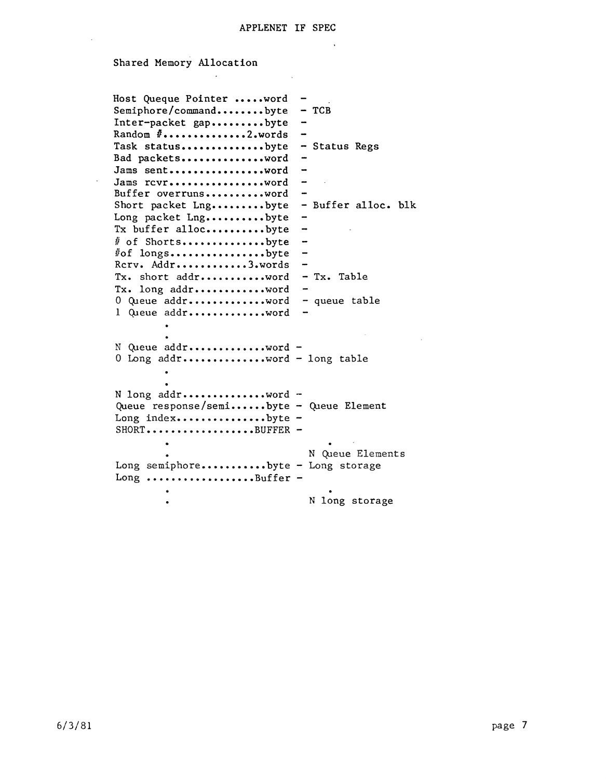$\sim$   $\sim$ 

 $\sim$   $\sim$ 

# Shared Memory Allocation

 $\sim$   $\sim$ 

 $\mathbf{r}$ 

 $\sim 10^7$ 

| Host Queque Pointer word<br>Semiphore/commandbyte<br>Inter-packet gapbyte<br>Random #2.words | $-TCB$                   |
|----------------------------------------------------------------------------------------------|--------------------------|
| Task statusbyte<br>Bad packetsword                                                           | - Status Regs            |
| Jams sentword                                                                                |                          |
| Jams revrword                                                                                |                          |
| Buffer overrunsword                                                                          |                          |
| Short packet Lngbyte                                                                         | - Buffer alloc. blk      |
| Long packet Lngbyte<br>Tx buffer allocbyte                                                   | $\overline{\phantom{a}}$ |
| # of Shortsbyte                                                                              |                          |
| #of longsbyte                                                                                |                          |
| Rerv. Addr3.words                                                                            |                          |
| Tx. short addrvord                                                                           | - Tx. Table              |
| Tx. long addrvord                                                                            |                          |
| 0 Queue addrword                                                                             | - queue table            |
| 1 Queue addrword                                                                             |                          |
|                                                                                              |                          |
|                                                                                              |                          |
| N Queue addr word -<br>0 Long addrword - long table                                          |                          |
|                                                                                              |                          |
|                                                                                              |                          |
| N long addrword -                                                                            |                          |
| Queue response/semibyte - Queue Element                                                      |                          |
| Long indexbyte -                                                                             |                          |
| $SHORT$ BUFFER -                                                                             |                          |
|                                                                                              |                          |
|                                                                                              | N Queue Elements         |
| Long semiphorebyte - Long storage                                                            |                          |
| Long Buffer -                                                                                |                          |
|                                                                                              |                          |
|                                                                                              | N long storage           |